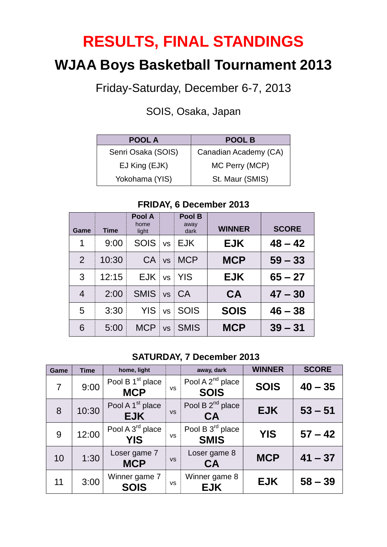## **RESULTS, FINAL STANDINGS**

## **WJAA Boys Basketball Tournament 2013**

Friday-Saturday, December 6-7, 2013

SOIS, Osaka, Japan

| <b>POOL A</b>      | <b>POOL B</b>         |
|--------------------|-----------------------|
| Senri Osaka (SOIS) | Canadian Academy (CA) |
| EJ King (EJK)      | MC Perry (MCP)        |
| Yokohama (YIS)     | St. Maur (SMIS)       |

#### **Game Time Pool A** home light **Pool B** away dark **WINNER SCORE** 1 9:00 SOIS vs EJK **EJK 48 – 42**  2 10:30 CA vs MCP **MCP 59 – 33** 3 12:15 EJK vs YIS **EJK 65 – 27** 4 2:00 SMIS vs CA **CA 47 – 30** 5 3:30 YIS vs SOIS **SOIS 46 – 38** 6 5:00 MCP vs SMIS **MCP 39 – 31**

#### **FRIDAY, 6 December 2013**

#### **SATURDAY, 7 December 2013**

| Game           | <b>Time</b> | home, light                                |           | away, dark                                  | <b>WINNER</b> | <b>SCORE</b> |
|----------------|-------------|--------------------------------------------|-----------|---------------------------------------------|---------------|--------------|
| $\overline{7}$ | 9:00        | Pool B 1 <sup>st</sup> place<br><b>MCP</b> | <b>VS</b> | Pool A 2 <sup>nd</sup> place<br><b>SOIS</b> | <b>SOIS</b>   | $40 - 35$    |
| 8              | 10:30       | Pool A 1 <sup>st</sup> place<br><b>EJK</b> | <b>VS</b> | Pool B 2 <sup>nd</sup> place<br><b>CA</b>   | <b>EJK</b>    | $53 - 51$    |
| 9              | 12:00       | Pool A 3 <sup>rd</sup> place<br><b>YIS</b> | <b>VS</b> | Pool B 3rd place<br><b>SMIS</b>             | <b>YIS</b>    | $57 - 42$    |
| 10             | 1:30        | Loser game 7<br><b>MCP</b>                 | <b>VS</b> | Loser game 8<br><b>CA</b>                   | <b>MCP</b>    | $41 - 37$    |
| 11             | 3:00        | Winner game 7<br><b>SOIS</b>               | <b>VS</b> | Winner game 8<br><b>EJK</b>                 | <b>EJK</b>    | $58 - 39$    |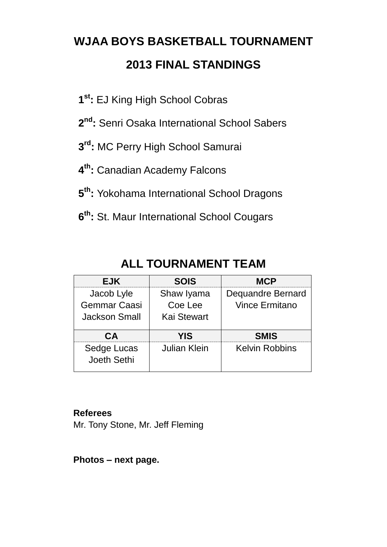# **WJAA BOYS BASKETBALL TOURNAMENT 2013 FINAL STANDINGS**

- **1 st:** EJ King High School Cobras
- **2 nd:** Senri Osaka International School Sabers
- **3 rd:** MC Perry High School Samurai
- **4 th:** Canadian Academy Falcons
- **5 th:** Yokohama International School Dragons
- **6 th:** St. Maur International School Cougars

| <b>EJK</b>                                                | <b>SOIS</b>                                 | <b>MCP</b>                                 |
|-----------------------------------------------------------|---------------------------------------------|--------------------------------------------|
| Jacob Lyle<br><b>Gemmar Caasi</b><br><b>Jackson Small</b> | Shaw Iyama<br>Coe Lee<br><b>Kai Stewart</b> | Dequandre Bernard<br><b>Vince Ermitano</b> |
| CΔ                                                        | YIS                                         | <b>SMIS</b>                                |
| Sedge Lucas<br>Joeth Sethi                                | Julian Klein                                | <b>Kelvin Robbins</b>                      |

### **ALL TOURNAMENT TEAM**

#### **Referees**

Mr. Tony Stone, Mr. Jeff Fleming

**Photos – next page.**